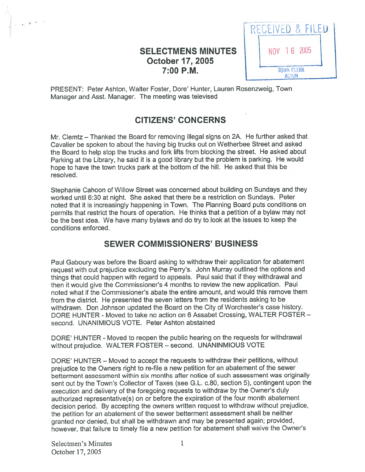# SELECTMENS MINUTES | | NOV 16 2005 **October 17, 2005**<br> **7:00 P.M.** TOWN CLERK TOWN CLERK



PRESENT: Peter Ashton, Walter Foster, Dore' Hunter, Lauren Rosenzweig, Town Manager and Asst. Manager. The meeting was televised

## CITIZENS' CONCERNS

Mr. Clemtz — Thanked the Board for removing illegal signs on 2A. He further asked that Cavalier be spoken to about the having big trucks out on Wetherbee Street and asked the Board to help stop the trucks and fork lifts from blocking the street. He asked about Parking at the Library, he said it is <sup>a</sup> goo<sup>d</sup> library but the problem is parking. He would hope to have the town trucks par<sup>k</sup> at the bottom of the hill. He asked that this be resolved.

Stephanie Cahoon of Willow Street was concerned about building on Sundays and they worked until 6:30 at night. She asked that there be <sup>a</sup> restriction on Sundays. Peter noted that it is increasingly happening in Town. The Planning Board puts conditions on permits that restrict the hours of operation. He thinks that <sup>a</sup> petition of <sup>a</sup> bylaw may not be the best idea. We have many bylaws and do try to look at the issues to keep the conditions enforced.

### SEWER COMMISSIONERS' BUSINESS

Paul Gaboury was before the Board asking to withdraw their application for abatement reques<sup>t</sup> with out prejudice excluding the Perry's. John Murray outlined the options and things that could happen with regar<sup>d</sup> to appeals. Paul said that if they withdrawal and then it would <sup>g</sup>ive the Commissioner's <sup>4</sup> months to review the new application. Paul noted what if the Commissioner's abate the entire amount, and would this remove them from the district. He presented the seven letters from the residents asking to be withdrawn. Don Johnson updated the Board on the City of Worchester's case history. DORE HUNTER - Moved to take no action on 6 Assabet Crossing, WALTER FOSTER second. UNANIMIOUS VOTE. Peter Ashton abstained

DORE' HUNTER - Moved to reopen the public hearing on the requests for withdrawal without prejudice. WALTER FOSTER — second. UNANINMIOUS VOTE

DORE' HUNTER - Moved to accept the requests to withdraw their petitions, without prejudice to the Owners right to re-file <sup>a</sup> new petition for an abatement of the sewer betterment assessment within six months after notice of such assessment was originally sent out by the Town's Collector of Taxes (see G.L. c.80, section 5), contingent upon the execution and delivery of the foregoing requests to withdraw by the Owner's duly authorized representative(s) on or before the expiration of the four month abatement decision period. By accepting the owners written reques<sup>t</sup> to withdraw without prejudice, the petition for an abatement of the sewer betterment assessment shall be neither granted nor denied, but shall be withdrawn and may be presented again; provided, however, that failure to timely file <sup>a</sup> new petition for abatement shall waive the Owner's

Selectmen's Minutes 1 October 17, 2005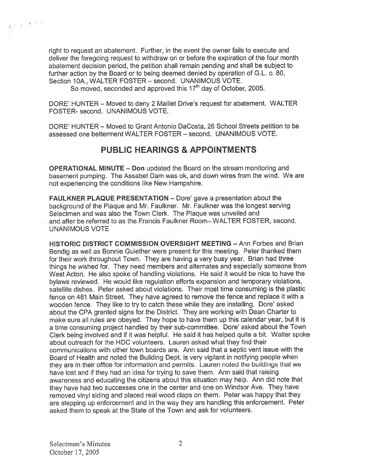right to reques<sup>t</sup> an abatement. Further, in the event the owner fails to execute and deliver the foregoing reques<sup>t</sup> to withdraw on or before the expiration of the four month abatement decision period, the petition shall remain pending and shall be subject to further action by the Board or to being deemed denied by operation of G.L. c. 80, Section 10A., WALTER FOSTER - second. UNANIMOUS VOTE.

So moved, seconded and approved this  $17<sup>th</sup>$  day of October, 2005.

DORE' HUNTER — Moved to deny 2 Maillet Drive's reques<sup>t</sup> for abatement. WALTER FOSTER- second. UNANIMOUS VOTE.

DORE' HUNTER — Moved to Grant Antonio DaCosta, 26 School Streets petition to be assessed one betterment WALTER FOSTER — second. UNANIMOUS VOTE.

### PUBLIC HEARINGS & APPOINTMENTS

OPERATIONAL MINUTE — Don updated the Board on the stream monitoring and basement pumping. The Assabet Dam was ok, and down wires from the wind. We are not experiencing the conditions like New Hampshire.

FAULKNER PLAQUE PRESENTATION — Dote' gave <sup>a</sup> presentation about the background of the Plaque and Mr. Faulkner. Mr. Faulkner was the longest serving Selectmen and was also the Town Clerk. The Plaque was unveiled and and after be referred to as the Francis Faulkner Room— WALTER FOSTER, second. UNANIMOUS VOTE

HISTORIC DISTRICT COMMISSION OVERSIGHT MEETING — Ann Forbes and Brian Bendig as well as Bonnie Guiether were presen<sup>t</sup> for this meeting. Peter thanked them for their work throughout Town. They are having <sup>a</sup> very busy year. Brian had three things he wished for. They need members and alternates and especially someone from West Acton. He also spoke of handling violations. He said it would be nice to have the bylaws reviewed. He would like regulation efforts expansion and temporary violations, satellite dishes. Peter asked about violations. Their most time consuming is the plastic fence on 481 Main Street. They have agreed to remove the fence and replace it with <sup>a</sup> wooden fence. They like to try to catch these while they are installing. Dore' asked about the CPA granted signs for the District. They are working with Dean Charter to make sure all rules are obeyed. They hope to have them up this calendar year, but it is <sup>a</sup> time consuming project handled by their sub-committee. Dore' asked about the Town Clerk being involved and it it was helpful. He said it has helped quite <sup>a</sup> bit. Walter spoke about outreach for the HDC volunteers. Lauren asked what they find their communications with other town boards are. Ann said that <sup>a</sup> septic vent issue with the Board of Health and noted the Building Dept. is very vigilant in notifying people when they are in their office for information and permits. Lauren noted the buildings that we have lost and if they had an idea for trying to save them. Ann said that raising awareness and educating the citizens about this situation may help. Ann did note that they have had two successes one in the center and one on Windsor Ave. They have removed vinyl siding and <sup>p</sup>laced real wood claps on them. Peter was happy that they are stepping up enforcement and in the way they are handling this enforcement. Peter asked them to speak at the State of the Town and ask for volunteers.

 $\mathbb{R}^{n}$  and  $\mathbb{R}^{n}$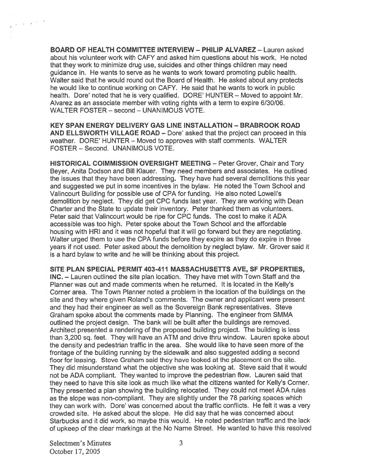BOARD OF HEALTH COMMITTEE INTERVIEW — PHILIP ALVAREZ — Lauren asked about his volunteer work with CAFY and asked him questions about his work. He noted that they work to minimize drug use, suicides and other things children may need guidance in. He wants to serve as he wants to work toward promoting public health. Walter said that he would round out the Board of Health. He asked about any protects he would like to continue working on CAFY. He said that he wants to work in public health. Dore' noted that he is very qualified. DORE' HUNTER — Moved to appoint Mr. Alvarez as an associate member with voting rights with <sup>a</sup> term to expire 6/30/06. WALTER FOSTER — second — UNANIMOUS VOTE.

KEY SPAN ENERGY DELIVERY GAS LINE INSTALLATION -BRABROOK ROAD AND ELLSWORTH VILLAGE ROAD — Dore' asked that the project can proceed in this weather. DORE' HUNTER — Moved to approves with staff comments. WALTER FOSTER — Second. UNANIMOUS VOTE.

HISTORICAL COIMMISSION OVERSIGHT MEETING — Peter Grover, Chair and Tory Beyer, Anita Dodson and Bill Klauer. They need members and associates. He outlined the issues that they have been addressing. They have had several demolitions this year and suggested we pu<sup>t</sup> in some incentives in the bylaw. He noted the Town School and Valincourt Building for possible use of CPA for funding. He also noted Lowell's demolition by neglect. They did ge<sup>t</sup> CPC funds last year. They are working with Dean Charter and the State to update their inventory. Peter thanked them as volunteers. Peter said that Valincourt would be ripe for CPC funds. The cost to make it ADA accessible was too high. Peter spoke about the Town School and the affordable housing with HRI and it was not hopeful that it will go forward but they are negotiating. Walter urged them to use the CPA funds before they expire as they do expire in three years if not used. Peter asked about the demolition by neglect bylaw. Mr. Grover said it is <sup>a</sup> hard bylaw to write and he will be thinking about this project.

SITE PLAN SPECIAL PERMIT 403-411 MASSACHUSETTS AyE, SF PROPERTIES, INC. — Lauren outlined the site plan location. They have met with Town Staff and the Planner was out and made comments when he returned. It is located in the Kelly's Corner area. The Town Planner noted <sup>a</sup> problem in the location of the buildings on the site and they where given Roland's comments. The owner and applicant were presen<sup>t</sup> and they had their engineer as well as the Sovereign Bank representatives. Steve Graham spoke about the comments made by Planning. The engineer from SMMA outlined the project design. The bank will be built after the buildings are removed. Architect presented <sup>a</sup> rendering of the proposed building project. The building is less than 3,200 sq. feet. They will have an ATM and drive thru window. Lauren spoke about the density and pedestrian traffic in the area. She would like to have seen more of the frontage of the building running by the sidewalk and also suggested adding <sup>a</sup> second floor for leasing. Steve Graham said they have looked at the placement on the site. They did misunderstand what the objective she was looking at. Steve said that it would not be ADA compliant. They wanted to improve the pedestrian flow. Lauren said that they need to have this site look as much like what the citizens wanted for Kelly's Corner. They presented <sup>a</sup> <sup>p</sup>lan showing the building relocated. They could not meet ADA rules as the slope was non-compliant. They are slightly under the 78 parking spaces which they can work with. Dore' was concerned about the traffic conflicts. He felt it was <sup>a</sup> very crowded site. He asked about the slope. He did say that he was concerned about Starbucks and it did work, so maybe this would. He noted pedestrian traffic and the lack of upkeep of the clear markings at the No Name Street. He wanted to have this resolved

Selectmen's Minutes 3 October 17, 2005

 $\epsilon$  ,  $\tilde{\epsilon}$  and  $\tilde{\epsilon}$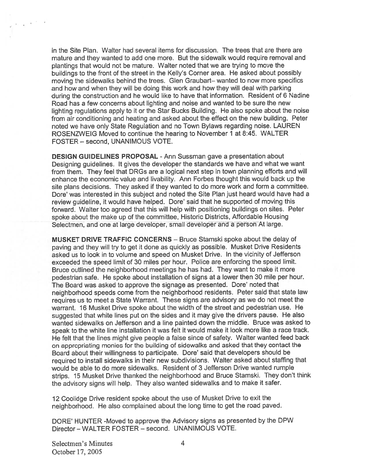in the Site Plan. Walter had several items for discussion. The trees that are there are mature and they wanted to add one more. But the sidewalk would require removal and <sup>p</sup>lantings that would not be mature. Walter noted that we are trying to move the buildings to the front of the street in the Kelly's Cornet area. He asked about possibly moving the sidewalks behind the trees. Glen Graubart— wanted to now more specifics and how and when they will be doing this work and how they will deal with parking during the construction and he would like to have that information. Resident of <sup>6</sup> Nadine Road has <sup>a</sup> few concerns about lighting and noise and wanted to be sure the new lighting regulations apply to it or the Star Bucks Building. He also spoke about the noise from air conditioning and heating and asked about the effect on the new building. Peter noted we have only State Regulation and no Town Bylaws regarding noise. LAUREN ROSENZWEIG Moved to continue the hearing to November 1 at 8:45. WALTER FOSTER — second, UNANIMOUS VOTE.

DESIGN GUIDELINES PROPOSAL -Ann Sussman gave <sup>a</sup> presentation about Designing guidelines. It <sup>g</sup>ives the developer the standards we have and what we want from them. They feel that DRGs are <sup>a</sup> logical next step in town <sup>p</sup>lanning efforts and will enhance the economic value and livability. Ann Forbes thought this would back up the site <sup>p</sup>lans decisions. They asked if they wanted to do more work and form <sup>a</sup> committee. Dore' was interested in this subject and noted the Site Plan just heard would have had <sup>a</sup> review guideline, it would have helped. Dore' said that he supported of moving this forward. Walter too agreed that this will help with positioning buildings on sites. Peter spoke about the make up of the committee, Historic Districts, Affordable Housing Selectmen, and one at large developer, small developer and <sup>a</sup> person At large.

MUSKET DRIVE TRAFFIC CONCERNS — Bruce Stamski spoke about the delay of paving and they will try to ge<sup>t</sup> it done as quickly as possible. Musket Drive Residents asked us to look in to volume and speed on Musket Drive. In the vicinity of Jefferson exceeded the speed limit of <sup>30</sup> miles per hour. Police are enforcing the speed limit. Bruce outlined the neighborhood meetings he has had. They want to make it more pedestrian safe. He spoke about installation of signs at <sup>a</sup> lower then <sup>30</sup> mile per hour. The Board was asked to approve the signage as presented. Dore' noted that neighborhood speeds come from the neighborhood residents. Peter said that state law requires us to meet <sup>a</sup> State Warrant. These signs are advisory as we do not meet the warrant. 16 Musket Drive spoke about the width of the street and pedestrian use. He suggested that white lines pu<sup>t</sup> on the sides and it may <sup>g</sup>ive the drivers pause. He also wanted sidewalks on Jefferson and <sup>a</sup> line painted down the middle. Bruce was asked to spea<sup>k</sup> to the white line installation it was felt it would make it look more like <sup>a</sup> race track. He felt that the lines might <sup>g</sup>ive people <sup>a</sup> false since of safety. Walter wanted feed back on appropriating monies for the building of sidewalks and asked that they contact the Board about their willingness to participate. Dore' said that developers should be required to install sidewalks in their new subdivisions. Walter asked about staffing that would be able to do more sidewalks. Resident of 3 Jefferson Drive wanted rumple strips. <sup>15</sup> Musket Drive thanked the neighborhood and Bruce Stamski. They don't think the advisory signs will help. They also wanted sidewalks and to make it safer.

<sup>12</sup> Coolidge Drive resident spoke about the use of Musket Drive to exit the neighborhood. He also complained about the long time to ge<sup>t</sup> the road paved.

DORE' HUNTER -Moved to approve the Advisory signs as presented by the DPW Director — WALTER FOSTER — second. UNANIMOUS VOTE.

Selectmen's Minutes 4 October 17, 2005

 $\epsilon$  ,  $\epsilon$  ,  $\epsilon$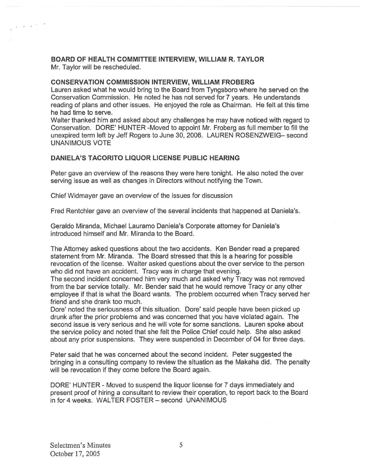## BOARD OF HEALTH COMMITTEE INTERVIEW, WILLIAM R. TAYLOR

Mr. Taylor will be rescheduled.

 $\chi \sim \chi^{-1/2}$  .

### CONSERVATION COMMISSION INTERVIEW, WILLIAM FROBERG

Lauren asked what he would bring to the Board from Tyngsboro where he served on the Conservation Commission. He noted he has not served for 7 years. He understands reading of plans and other issues. He enjoyed the role as Chairman. He felt at this time he had time to serve.

Walter thanked him and asked about any challenges he may have noticed with regard to Conservation. DORE' HUNTER -Moved to appoint Mr. Froberg as full member to fill the unexpired term left by Jeff Rogers to June 30, 2006. LAUREN ROSENZWEIG— second UNANIMOUS VOTE

### DANIELA'S TACORITO LIQUOR LICENSE PUBLIC HEARING

Peter gave an overview of the reasons they were here tonight. He also noted the over serving issue as well as changes in Directors without notifying the Town.

Chief Widmayer gave an overview of the issues for discussion

Fred Rentchler gave an overview of the several incidents that happened at Daniela's.

Geraldo Miranda, Michael Lauramo Daniela's Corporate attorney for Daniela's introduced himself and Mr. Miranda to the Board.

The Attorney asked questions about the two accidents. Ken Bender read <sup>a</sup> prepared statement from Mr. Miranda. The Board stressed that this is <sup>a</sup> hearing for possible revocation of the license. Walter asked questions about the over service to the person who did not have an accident. Tracy was in charge that evening.

The second incident concerned him very much and asked why Tracy was not removed from the bar service totally. Mr. Bender said that he would remove Tracy or any other employee if that is what the Board wants. The problem occurred when Tracy served her friend and she drank too much.

Dore' noted the seriousness of this situation. Dore' said people have been picked up drunk after the prior problems and was concerned that you have violated again. The second issue is very serious and he will vote for some sanctions. Lauren spoke about the service policy and noted that she felt the Police Chief could help. She also asked about any prior suspensions. They were suspended in December of 04 for three days.

Peter said that he was concerned about the second incident. Peter suggested the bringing in <sup>a</sup> consulting company to review the situation as the Makaha did. The penalty will be revocation if they come before the Board again.

DORE' HUNTER - Moved to suspend the liquor license for 7 days immediately and presen<sup>t</sup> proof of hiring <sup>a</sup> consultant to review their operation, to repor<sup>t</sup> back to the Board in for 4 weeks. WALTER FOSTER — second UNANIMOUS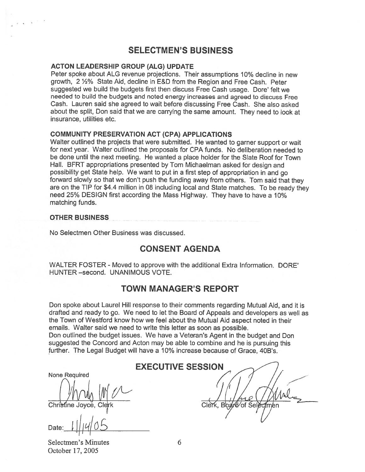### SELECTMEN'S BUSINESS

### ACTON LEADERSHIP GROUP (ALG) UPDATE

Peter spoke about ALG revenue projections. Their assumptions 10% decline in new growth, 2 4% State Aid, decline in E&D from the Region and Free Cash. Peter suggested we build the budgets first then discuss Free Cash usage. Dore' felt we needed to build the budgets and noted energy increases and agreed to discuss Free Cash. Lauren said she agreed to wait before discussing Free Cash. She also asked about the split, Don said that we are carrying the same amount. They need to look at insurance, utilities etc.

### COMMUNITY PRESERVATION ACT (CPA) APPLICATIONS

Walter outlined the projects that were submitted. He wanted to garner suppor<sup>t</sup> or wait for next year. Walter outlined the proposals for CPA funds. No deliberation needed to be done until the next meeting. He wanted <sup>a</sup> place holder for the Slate Roof for Town Hall. BFRT appropriations presented by Tom Michaelman asked for design and possibility ge<sup>t</sup> State help. We want to pu<sup>t</sup> in <sup>a</sup> first step of appropriation in and go forward slowly so that we don't pus<sup>h</sup> the funding away from others. Tom said that they are on the TIP for \$4.4 million in <sup>08</sup> including local and State matches. To be ready they need 25% DESIGN first according the Mass Highway. They have to have <sup>a</sup> 10% matching funds.

#### OTHER BUSINESS

No Selectmen Other Business was discussed.

### CONSENT AGENDA

WALTER FOSTER - Moved to approve with the additional Extra Information. DORE' HUNTER —second. UNANIMOUS VOTE.

### TOWN MANAGER'S REPORT

Don spoke about Laurel Hill response to their comments regarding Mutual Aid, and it is drafted and ready to go. We need to let the Board of Appeals and developers as well as the Town of Westford know how we feel about the Mutual Aid aspec<sup>t</sup> noted in their emails. Walter said we need to write this letter as soon as possible.

Don outlined the budget issues. We have <sup>a</sup> Veteran's Agent in the budget and Don suggested the Concord and Acton may be able to combine and he is pursuing this further. The Legal Budget will have <sup>a</sup> 10% increase because of Grace, 40B's.

None Required

Date:  $1$   $||$   $||$   $||$   $||$   $||$   $||$   $||$ 

Selectmen's Minutes 6 October 17, 2005

EXECUTIVE SESSION

cM ( (1'!J 41c Chri me Joyce, Clrk Clerk, <sup>B</sup> of Sel <sup>n</sup>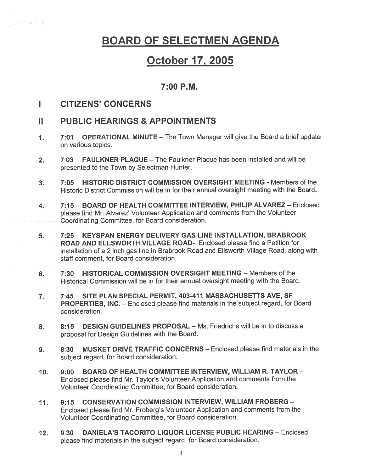## BOARD OF SELECTMEN AGENDA

## October 17, 2005

### 7:00 P.M.

#### CiTIZENS' CONCERNS L.

 $\frac{1}{2}$   $\frac{1}{2}$   $\frac{1}{2}$   $\frac{1}{2}$ 

### II PUBLIC HEARINGS & APPOINTMENTS

- 1. 7:01 OPERATIONAL MINUTE The Town Manager will give the Board <sup>a</sup> brief update on various topics.
- 2. 7:03 FAULKNER PLAQUE The Faulkner Plaque has been installed and will be presented to the Town by Selectman Hunter.
- 3. 7:05 HISTORIC DISTRICT COMMISSION OVERSIGHT MEETING Members of the Historic District Commission will be in for their annual oversight meeting with the Board.
- 4. 7:15 BOARD OF HEALTH COMMITTEE INTERVIEW, PHILIP ALVAREZ Enclosed <sup>p</sup>lease find Mr. Alvarez' Volunteer Application and comments from the Volunteer Coordinating Committee, for Board consideration.
- 5. 7:25 KEYSPAN ENERGY DELIVERY GAS LINE INSTALLATION, BRABROOK ROAD AND ELLSWORTH VILLAGE ROAD- Enclosed please find <sup>a</sup> Petition for installation of <sup>a</sup> <sup>2</sup> inch gas line in Brabrook Road and Ellsworth Village Road, along with staff comment, for Board consideration.
- 6. 7:30 HISTORICAL COMMISSION OVERSIGHT MEETING Members of the Historical Commission will be in for their annual oversight meeting with the Board.
- 7. 7:45 SITE PLAN SPECIAL PERMIT, 403-411 MASSACHUSETTS AVE, SF PROPERTIES, INC. — Enclosed please tind materials in the subject regard, for Board consideration.
- 8. 8:15 DESIGN GUIDELINES PROPOSAL Ms. Friedrichs will be in to discuss a proposal for Design Guidelines with the Board.
- 9. 8:30 MUSKET DRIVE TRAFFIC CONCERNS Enclosed please find materials in the subject regard, for Board consideration.
- 10. 9:00 BOARD OF HEALTH COMMITTEE INTERVIEW, WILLIAM R. TAYLOR-Enclosed <sup>p</sup>lease find Mr. Taylor's Volunteer Application and comments from the Volunteer Coordinating Committee, for Board consideration.
- 11. 9:15 CONSERVATION COMMISSION INTERVIEW, WILLIAM FROBERG Enclosed <sup>p</sup>lease find Mr. Froberg's Volunteer Application and comments from the Volunteer Coordinating Committee, for Board consideration.
- 12. 9:30 DANIELA'S TACORITO LIQUOR LICENSE PUBLIC HEARING Enclosed <sup>p</sup>lease find materials in the subject regard, for Board consideration.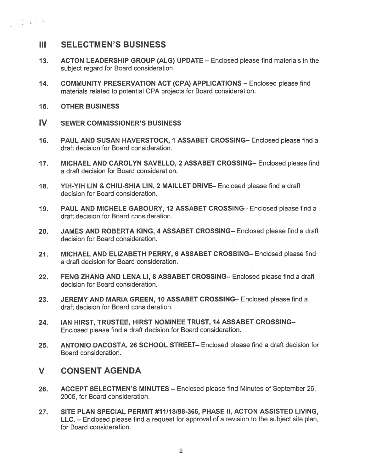### III SELECTMEN'S BUSINESS

- 13. ACTON LEADERSHIP GROUP (ALG) UPDATE Enclosed please find materials in the subject regard for Board consideration
- 14. COMMUNITY PRESERVATION ACT (CPA) APPLICATIONS Enclosed please find materials related to potential CPA projects for Board consideration.
- 15. OTHER BUSINESS

 $\sim 10^{-4}$  km  $^{-1}$ 

- IV SEWER COMMISSIONER'S BUSINESS
- 16. PAUL AND SUSAN HAVERSTOCK, 1 ASSABET CROSSING— Enclosed please find <sup>a</sup> draft decision for Board consideration.
- 17. MICHAEL AND CAROLYN SAVELLO, 2 ASSABET CROSSING— Enclosed please find <sup>a</sup> draft decision for Board consideration.
- 18. YIH-YIH LIN & CHIU-SHIA LIN, 2 MAILLET DRIVE— Enclosed please find <sup>a</sup> draft decision for Board consideration.
- 19. PAUL AND MICHELE GABOURY, 12 ASSABET CROSSING— Enclosed please find <sup>a</sup> draft decision for Board consideration.
- 20. JAMES AND ROBERTA KING, 4 ASSABET CROSSING— Enclosed please find <sup>a</sup> draft decision for Board consideration.
- 21. MICHAEL AND ELIZABETH PERRY, 6 ASSABET CROSSING— Enclosed please find <sup>a</sup> draft decision for Board consideration.
- 22. FENG ZHANG AND LENA LI, 8 ASSABET CROSSING— Enclosed please find <sup>a</sup> draft decision for Board consideration.
- 23. JEREMY AND MARIA GREEN, 10 ASSABET CROSSING— Enclosed please find <sup>a</sup> draft decision for Board consideration.
- 24. IAN HIRST, TRUSTEE, HIRST NOMINEE TRUST, 14 ASSABET CROSSING-Enclosed please find <sup>a</sup> draft decision for Board consideration.
- 25. ANTONIO DACOSTA, 26 SCHOOL STREET— Enclosed please find <sup>a</sup> draft decision for Board consideration.

### V CONSENT AGENDA

- 26. ACCEPT SELECTMEN'S MINUTES Enclosed please find Minutes of September 26, 2005, for Board consideration.
- 27. SITE PLAN SPECIAL PERMIT #11/18/98-366, PHASE II, ACTON ASSISTED LIVING, LLC. — Enclosed <sup>p</sup>lease find <sup>a</sup> reques<sup>t</sup> for approva<sup>l</sup> of <sup>a</sup> revision to the subject site <sup>p</sup>lan, for Board consideration.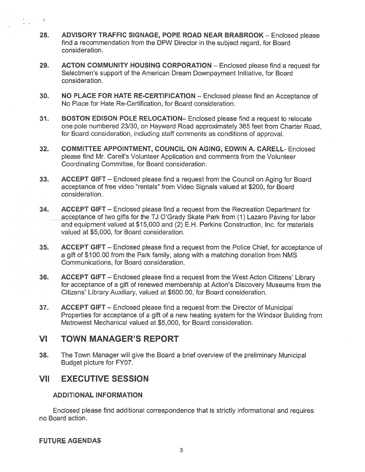- 28. ADVISORY TRAFFIC SIGNAGE, POPE ROAD NEAR BRABROOK Enclosed please find <sup>a</sup> recommendation from the DPW Director in the subject regard, for Board consideration.
- 29. ACTON COMMUNITY HOUSING CORPORATION Enclosed please find <sup>a</sup> reques<sup>t</sup> for Selectmen's suppor<sup>t</sup> of the American Dream Downpayment Initiative, for Board consideration.
- 30. NO PLACE FOR HATE RE-CERTIFICATION Enclosed please find an Acceptance of No Place for Hate Re-Certification, for Board consideration.
- 31. BOSTON EDISON POLE RELOCATION— Enclosed please find <sup>a</sup> reques<sup>t</sup> to relocate one pole numbered 23/30, on Hayward Road approximately 365 feet from Charter Road, for Board consideration, including staff comments as conditions of approval.
- 32. COMMITTEE APPOINTMENT, COUNCIL ON AGING, EDWIN A. CARELL- Enclosed please find Mr. Carell's Volunteer Application and comments from the Volunteer Coordinating Committee, for Board consideration.
- 33. ACCEPT GIFT Enclosed please find <sup>a</sup> reques<sup>t</sup> from the Council on Aging for Board acceptance of free video "rentals" from Video Signals valued at \$200, for Board consideration.
- 34. ACCEPT GIFT Enclosed please find <sup>a</sup> reques<sup>t</sup> from the Recreation Department for acceptance of two gifts for the TJ O'Grady Skate Park from (1) Lazaro Paving for labor and equipment valued at \$15,000 and (2) E.H. Perkins Construction, Inc. for materials valued at \$5,000, for Board consideration.
- 35. ACCEPT GIFT Enclosed please find <sup>a</sup> reques<sup>t</sup> from the Police Chief, for acceptance of <sup>a</sup> gift of \$100.00 from the Park family, along with <sup>a</sup> matching donation from NMS Communications, for Board consideration.
- 36. ACCEPT GIFT Enclosed please find <sup>a</sup> reques<sup>t</sup> from the West Acton Citizens' Library for acceptance of <sup>a</sup> gift of renewed membership at Acton's Discovery Museums from the Citizens' Library Auxiliary, valued at \$600.00, for Board consideration.
- 37. ACCEPT GIFT Enclosed please find <sup>a</sup> reques<sup>t</sup> from the Director of Municipal Properties for acceptance of <sup>a</sup> gift of <sup>a</sup> new heating system for the Windsor Building from Metrowest Mechanical valued at \$5,000, for Board consideration.

## VI TOWN MANAGER'S REPORT

38. The Town Manager will give the Board <sup>a</sup> brief overview of the preliminary Municipal Budget picture for FY07.

## VII EXECUTIVE SESSION

### ADDITIONAL INFORMATION

Enclosed please find additional correspondence that is strictly informational and requires no Board action.

### FUTURE AGENDAS

 $x = \frac{1}{2}$  ,  $y = \frac{1}{2}$